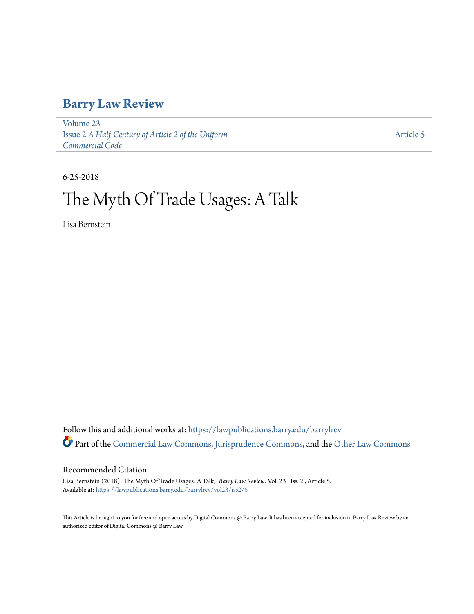## **[Barry Law Review](https://lawpublications.barry.edu/barrylrev?utm_source=lawpublications.barry.edu%2Fbarrylrev%2Fvol23%2Fiss2%2F5&utm_medium=PDF&utm_campaign=PDFCoverPages)**

[Volume 23](https://lawpublications.barry.edu/barrylrev/vol23?utm_source=lawpublications.barry.edu%2Fbarrylrev%2Fvol23%2Fiss2%2F5&utm_medium=PDF&utm_campaign=PDFCoverPages) Issue 2 *[A Half-Century of Article 2 of the Uniform](https://lawpublications.barry.edu/barrylrev/vol23/iss2?utm_source=lawpublications.barry.edu%2Fbarrylrev%2Fvol23%2Fiss2%2F5&utm_medium=PDF&utm_campaign=PDFCoverPages) [Commercial Code](https://lawpublications.barry.edu/barrylrev/vol23/iss2?utm_source=lawpublications.barry.edu%2Fbarrylrev%2Fvol23%2Fiss2%2F5&utm_medium=PDF&utm_campaign=PDFCoverPages)*

[Article 5](https://lawpublications.barry.edu/barrylrev/vol23/iss2/5?utm_source=lawpublications.barry.edu%2Fbarrylrev%2Fvol23%2Fiss2%2F5&utm_medium=PDF&utm_campaign=PDFCoverPages)

6-25-2018

# The Myth Of Trade Usages: A Talk

Lisa Bernstein

Follow this and additional works at: [https://lawpublications.barry.edu/barrylrev](https://lawpublications.barry.edu/barrylrev?utm_source=lawpublications.barry.edu%2Fbarrylrev%2Fvol23%2Fiss2%2F5&utm_medium=PDF&utm_campaign=PDFCoverPages) Part of the [Commercial Law Commons](http://network.bepress.com/hgg/discipline/586?utm_source=lawpublications.barry.edu%2Fbarrylrev%2Fvol23%2Fiss2%2F5&utm_medium=PDF&utm_campaign=PDFCoverPages), [Jurisprudence Commons,](http://network.bepress.com/hgg/discipline/610?utm_source=lawpublications.barry.edu%2Fbarrylrev%2Fvol23%2Fiss2%2F5&utm_medium=PDF&utm_campaign=PDFCoverPages) and the [Other Law Commons](http://network.bepress.com/hgg/discipline/621?utm_source=lawpublications.barry.edu%2Fbarrylrev%2Fvol23%2Fiss2%2F5&utm_medium=PDF&utm_campaign=PDFCoverPages)

### Recommended Citation

Lisa Bernstein (2018) "The Myth Of Trade Usages: A Talk," *Barry Law Review*: Vol. 23 : Iss. 2 , Article 5. Available at: [https://lawpublications.barry.edu/barrylrev/vol23/iss2/5](https://lawpublications.barry.edu/barrylrev/vol23/iss2/5?utm_source=lawpublications.barry.edu%2Fbarrylrev%2Fvol23%2Fiss2%2F5&utm_medium=PDF&utm_campaign=PDFCoverPages)

This Article is brought to you for free and open access by Digital Commons @ Barry Law. It has been accepted for inclusion in Barry Law Review by an authorized editor of Digital Commons @ Barry Law.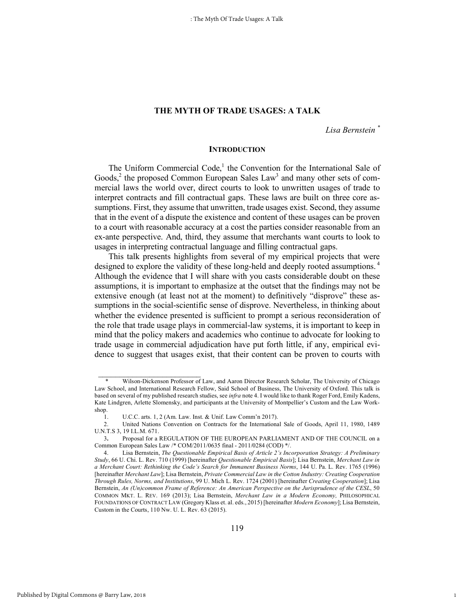#### **THE MYTH OF TRADE USAGES: A TALK**

*Lisa Bernstein \**

1

#### **INTRODUCTION**

The Uniform Commercial Code, $<sup>1</sup>$  the Convention for the International Sale of</sup> Goods,<sup>2</sup> the proposed Common European Sales  $Law<sup>3</sup>$  and many other sets of commercial laws the world over, direct courts to look to unwritten usages of trade to interpret contracts and fill contractual gaps. These laws are built on three core assumptions. First, they assume that unwritten, trade usages exist. Second, they assume that in the event of a dispute the existence and content of these usages can be proven to a court with reasonable accuracy at a cost the parties consider reasonable from an ex-ante perspective. And, third, they assume that merchants want courts to look to usages in interpreting contractual language and filling contractual gaps.

This talk presents highlights from several of my empirical projects that were designed to explore the validity of these long-held and deeply rooted assumptions.<sup>4</sup> Although the evidence that I will share with you casts considerable doubt on these assumptions, it is important to emphasize at the outset that the findings may not be extensive enough (at least not at the moment) to definitively "disprove" these assumptions in the social-scientific sense of disprove. Nevertheless, in thinking about whether the evidence presented is sufficient to prompt a serious reconsideration of the role that trade usage plays in commercial-law systems, it is important to keep in mind that the policy makers and academics who continue to advocate for looking to trade usage in commercial adjudication have put forth little, if any, empirical evidence to suggest that usages exist, that their content can be proven to courts with

Wilson-Dickenson Professor of Law, and Aaron Director Research Scholar, The University of Chicago Law School, and International Research Fellow, Said School of Business, The University of Oxford. This talk is based on several of my published research studies, see *infra* note 4. I would like to thank Roger Ford, Emily Kadens, Kate Lindgren, Arlette Slomensky, and participants at the University of Montpellier's Custom and the Law Workshop.

<sup>1.</sup> U.C.C. arts. 1, 2 (Am. Law. Inst. & Unif. Law Comm'n 2017).

<sup>2.</sup> United Nations Convention on Contracts for the International Sale of Goods, April 11, 1980, 1489 U.N.T.S 3, 19 I.L.M. 671.

<sup>3</sup>**.** Proposal for a REGULATION OF THE EUROPEAN PARLIAMENT AND OF THE COUNCIL on a Common European Sales Law /\* COM/2011/0635 final - 2011/0284 (COD) \*/.

<sup>4.</sup> Lisa Bernstein, *The Questionable Empirical Basis of Article 2's Incorporation Strategy: A Preliminary Study*, 66 U. Chi. L. Rev. 710 (1999) [hereinafter *Questionable Empirical Basis*]; Lisa Bernstein, *Merchant Law in a Merchant Court: Rethinking the Code's Search for Immanent Business Norms*, 144 U. Pa. L. Rev. 1765 (1996) [hereinafter *Merchant Law*]; Lisa Bernstein, *Private Commercial Law in the Cotton Industry: Creating Cooperation Through Rules, Norms, and Institutions*, 99 U. Mich L. Rev. 1724 (2001) [hereinafter *Creating Cooperation*]; Lisa Bernstein, *An (Un)common Frame of Reference: An American Perspective on the Jurisprudence of the CESL*, 50 COMMON MKT. L. REV. 169 (2013); Lisa Bernstein, *Merchant Law in a Modern Economy,* PHILOSOPHICAL FOUNDATIONS OF CONTRACT LAW (Gregory Klass et. al. eds., 2015) [hereinafter *Modern Economy*]; Lisa Bernstein, Custom in the Courts, 110 Nw. U. L. Rev. 63 (2015).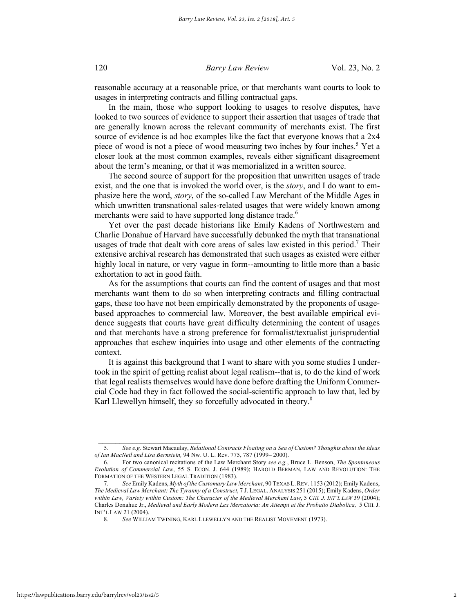#### 120 *Barry Law Review* Vol. 23, No. 2

reasonable accuracy at a reasonable price, or that merchants want courts to look to usages in interpreting contracts and filling contractual gaps.

In the main, those who support looking to usages to resolve disputes, have looked to two sources of evidence to support their assertion that usages of trade that are generally known across the relevant community of merchants exist. The first source of evidence is ad hoc examples like the fact that everyone knows that a 2x4 piece of wood is not a piece of wood measuring two inches by four inches.<sup>5</sup> Yet a closer look at the most common examples, reveals either significant disagreement about the term's meaning, or that it was memorialized in a written source.

The second source of support for the proposition that unwritten usages of trade exist, and the one that is invoked the world over, is the *story*, and I do want to emphasize here the word, *story*, of the so-called Law Merchant of the Middle Ages in which unwritten transnational sales-related usages that were widely known among merchants were said to have supported long distance trade.<sup>6</sup>

Yet over the past decade historians like Emily Kadens of Northwestern and Charlie Donahue of Harvard have successfully debunked the myth that transnational usages of trade that dealt with core areas of sales law existed in this period.<sup>7</sup> Their extensive archival research has demonstrated that such usages as existed were either highly local in nature, or very vague in form--amounting to little more than a basic exhortation to act in good faith.

As for the assumptions that courts can find the content of usages and that most merchants want them to do so when interpreting contracts and filling contractual gaps, these too have not been empirically demonstrated by the proponents of usagebased approaches to commercial law. Moreover, the best available empirical evidence suggests that courts have great difficulty determining the content of usages and that merchants have a strong preference for formalist/textualist jurisprudential approaches that eschew inquiries into usage and other elements of the contracting context.

It is against this background that I want to share with you some studies I undertook in the spirit of getting realist about legal realism--that is, to do the kind of work that legal realists themselves would have done before drafting the Uniform Commercial Code had they in fact followed the social-scientific approach to law that, led by Karl Llewellyn himself, they so forcefully advocated in theory.<sup>8</sup>

 $\mathcal{L}_\text{max}$ 

<sup>5</sup>*. See e.g*. Stewart Macaulay, *Relational Contracts Floating on a Sea of Custom? Thoughts about the Ideas of Ian MacNeil and Lisa Bernstein,* 94 Nw. U. L. Rev. 775, 787 (1999– 2000).

<sup>6.</sup> For two canonical recitations of the Law Merchant Story *see e.g.*, Bruce L. Benson, *The Spontaneous Evolution of Commercial Law*, 55 S. ECON. J. 644 (1989); HAROLD BERMAN, LAW AND REVOLUTION: THE FORMATION OF THE WESTERN LEGAL TRADITION (1983).

<sup>7</sup>*. See* Emily Kadens, *Myth of the Customary Law Merchant*, 90 TEXAS L.REV. 1153 (2012); Emily Kadens, *The Medieval Law Merchant: The Tyranny of a Construct*, 7 J. LEGAL. ANALYSIS 251 (2015); Emily Kadens, *Order within Law, Variety within Custom: The Character of the Medieval Merchant Law*, 5 *CHI. J. INT'L LAW* 39 (2004); Charles Donahue Jr., *Medieval and Early Modern Lex Mercatoria: An Attempt at the Probatio Diabolica,* 5 CHI.J. INT'L LAW 21 (2004).

<sup>8</sup>*. See* WILLIAM TWINING, KARL LLEWELLYN AND THE REALIST MOVEMENT (1973).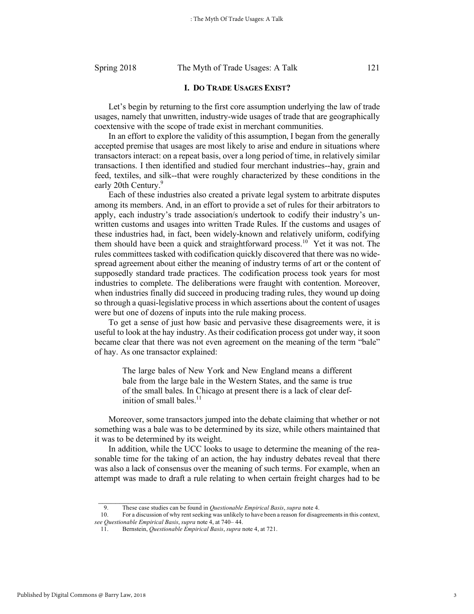#### Spring 2018 The Myth of Trade Usages: A Talk 121

#### **I. DO TRADE USAGES EXIST?**

Let's begin by returning to the first core assumption underlying the law of trade usages, namely that unwritten, industry-wide usages of trade that are geographically coextensive with the scope of trade exist in merchant communities.

In an effort to explore the validity of this assumption, I began from the generally accepted premise that usages are most likely to arise and endure in situations where transactors interact: on a repeat basis, over a long period of time, in relatively similar transactions. I then identified and studied four merchant industries--hay, grain and feed, textiles, and silk--that were roughly characterized by these conditions in the early 20th Century.<sup>9</sup>

Each of these industries also created a private legal system to arbitrate disputes among its members. And, in an effort to provide a set of rules for their arbitrators to apply, each industry's trade association/s undertook to codify their industry's unwritten customs and usages into written Trade Rules. If the customs and usages of these industries had, in fact, been widely-known and relatively uniform, codifying them should have been a quick and straightforward process.<sup>10</sup> Yet it was not. The rules committees tasked with codification quickly discovered that there was no widespread agreement about either the meaning of industry terms of art or the content of supposedly standard trade practices. The codification process took years for most industries to complete. The deliberations were fraught with contention. Moreover, when industries finally did succeed in producing trading rules, they wound up doing so through a quasi-legislative process in which assertions about the content of usages were but one of dozens of inputs into the rule making process.

To get a sense of just how basic and pervasive these disagreements were, it is useful to look at the hay industry.As their codification process got under way, it soon became clear that there was not even agreement on the meaning of the term "bale" of hay. As one transactor explained:

The large bales of New York and New England means a different bale from the large bale in the Western States, and the same is true of the small bales. In Chicago at present there is a lack of clear definition of small bales. $<sup>11</sup>$ </sup>

Moreover, some transactors jumped into the debate claiming that whether or not something was a bale was to be determined by its size, while others maintained that it was to be determined by its weight.

In addition, while the UCC looks to usage to determine the meaning of the reasonable time for the taking of an action, the hay industry debates reveal that there was also a lack of consensus over the meaning of such terms. For example, when an attempt was made to draft a rule relating to when certain freight charges had to be

<sup>9.</sup> These case studies can be found in *Questionable Empirical Basis*, *supra* note 4.

<sup>10.</sup> For a discussion of why rent seeking was unlikely to have been a reason for disagreements in this context, *see Questionable Empirical Basis*, *supra* note 4, at 740– 44.

<sup>11.</sup> Bernstein, *Questionable Empirical Basis*, *supra* note 4, at 721.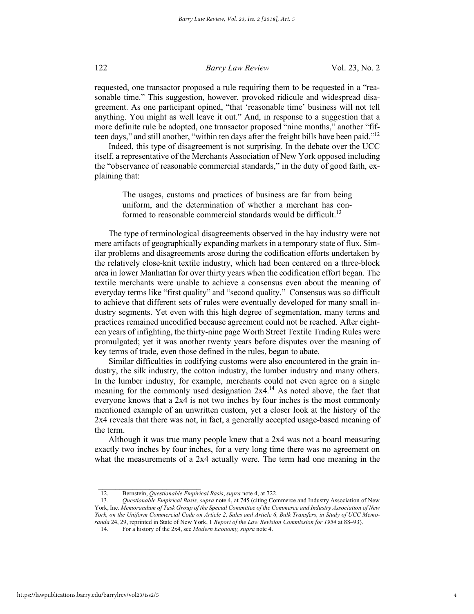#### 122 *Barry Law Review* Vol. 23, No. 2

requested, one transactor proposed a rule requiring them to be requested in a "reasonable time." This suggestion, however, provoked ridicule and widespread disagreement. As one participant opined, "that 'reasonable time' business will not tell anything. You might as well leave it out." And, in response to a suggestion that a more definite rule be adopted, one transactor proposed "nine months," another "fifteen days," and still another, "within ten days after the freight bills have been paid."12

Indeed, this type of disagreement is not surprising. In the debate over the UCC itself, a representative of the Merchants Association of New York opposed including the "observance of reasonable commercial standards," in the duty of good faith, explaining that:

The usages, customs and practices of business are far from being uniform, and the determination of whether a merchant has conformed to reasonable commercial standards would be difficult.<sup>13</sup>

The type of terminological disagreements observed in the hay industry were not mere artifacts of geographically expanding markets in a temporary state of flux. Similar problems and disagreements arose during the codification efforts undertaken by the relatively close-knit textile industry, which had been centered on a three-block area in lower Manhattan for over thirty years when the codification effort began. The textile merchants were unable to achieve a consensus even about the meaning of everyday terms like "first quality" and "second quality." Consensus was so difficult to achieve that different sets of rules were eventually developed for many small industry segments. Yet even with this high degree of segmentation, many terms and practices remained uncodified because agreement could not be reached. After eighteen years of infighting, the thirty-nine page Worth Street Textile Trading Rules were promulgated; yet it was another twenty years before disputes over the meaning of key terms of trade, even those defined in the rules, began to abate.

Similar difficulties in codifying customs were also encountered in the grain industry, the silk industry, the cotton industry, the lumber industry and many others. In the lumber industry, for example, merchants could not even agree on a single meaning for the commonly used designation  $2x4<sup>14</sup>$ . As noted above, the fact that everyone knows that a 2x4 is not two inches by four inches is the most commonly mentioned example of an unwritten custom, yet a closer look at the history of the 2x4 reveals that there was not, in fact, a generally accepted usage-based meaning of the term.

Although it was true many people knew that a 2x4 was not a board measuring exactly two inches by four inches, for a very long time there was no agreement on what the measurements of a 2x4 actually were. The term had one meaning in the

 $\mathcal{L}_\text{max}$ 

<sup>12.</sup> Bernstein, *Questionable Empirical Basis*, *supra* note 4, at 722.

<sup>13</sup>*. Questionable Empirical Basis, supra* note 4, at 745 (citing Commerce and Industry Association of New York, Inc. *Memorandum of Task Group of the Special Committee of the Commerce and Industry Association of New York, on the Uniform Commercial Code on Article 2, Sales and Article 6, Bulk Transfers, in Study of UCC Memoranda* 24, 29, reprinted in State of New York, 1 *Report of the Law Revision Commission for 1954* at 88–93).

<sup>14.</sup> For a history of the 2x4, see *Modern Economy, supra* note 4.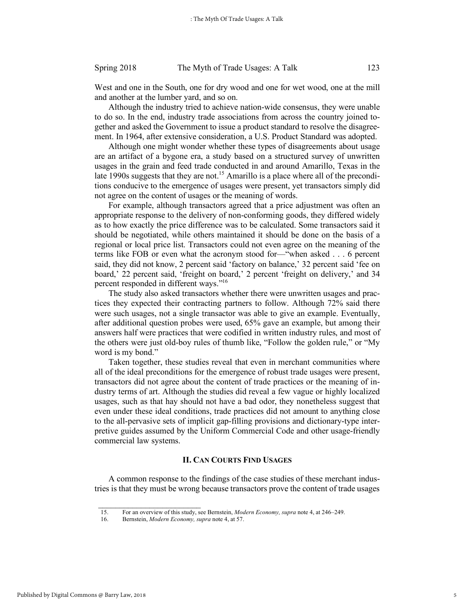West and one in the South, one for dry wood and one for wet wood, one at the mill and another at the lumber yard, and so on.

Although the industry tried to achieve nation-wide consensus, they were unable to do so. In the end, industry trade associations from across the country joined together and asked the Government to issue a product standard to resolve the disagreement. In 1964, after extensive consideration, a U.S. Product Standard was adopted.

Although one might wonder whether these types of disagreements about usage are an artifact of a bygone era, a study based on a structured survey of unwritten usages in the grain and feed trade conducted in and around Amarillo, Texas in the late 1990s suggests that they are not.<sup>15</sup> Amarillo is a place where all of the preconditions conducive to the emergence of usages were present, yet transactors simply did not agree on the content of usages or the meaning of words.

For example, although transactors agreed that a price adjustment was often an appropriate response to the delivery of non-conforming goods, they differed widely as to how exactly the price difference was to be calculated. Some transactors said it should be negotiated, while others maintained it should be done on the basis of a regional or local price list. Transactors could not even agree on the meaning of the terms like FOB or even what the acronym stood for—"when asked . . . 6 percent said, they did not know, 2 percent said 'factory on balance,' 32 percent said 'fee on board,' 22 percent said, 'freight on board,' 2 percent 'freight on delivery,' and 34 percent responded in different ways."16

The study also asked transactors whether there were unwritten usages and practices they expected their contracting partners to follow. Although 72% said there were such usages, not a single transactor was able to give an example. Eventually, after additional question probes were used, 65% gave an example, but among their answers half were practices that were codified in written industry rules, and most of the others were just old-boy rules of thumb like, "Follow the golden rule," or "My word is my bond."

Taken together, these studies reveal that even in merchant communities where all of the ideal preconditions for the emergence of robust trade usages were present, transactors did not agree about the content of trade practices or the meaning of industry terms of art. Although the studies did reveal a few vague or highly localized usages, such as that hay should not have a bad odor, they nonetheless suggest that even under these ideal conditions, trade practices did not amount to anything close to the all-pervasive sets of implicit gap-filling provisions and dictionary-type interpretive guides assumed by the Uniform Commercial Code and other usage-friendly commercial law systems.

#### **II. CAN COURTS FIND USAGES**

A common response to the findings of the case studies of these merchant industries is that they must be wrong because transactors prove the content of trade usages

<sup>15.</sup> For an overview of this study, see Bernstein, *Modern Economy, supra* note 4, at 246–249.

<sup>16.</sup> Bernstein, *Modern Economy, supra* note 4, at 57.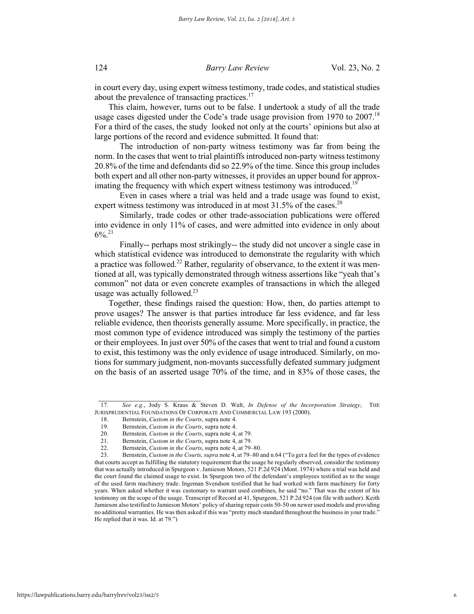in court every day, using expert witness testimony, trade codes, and statistical studies about the prevalence of transacting practices. $^{17}$ 

This claim, however, turns out to be false. I undertook a study of all the trade usage cases digested under the Code's trade usage provision from 1970 to 2007.<sup>18</sup> For a third of the cases, the study looked not only at the courts' opinions but also at large portions of the record and evidence submitted. It found that:

 The introduction of non-party witness testimony was far from being the norm. In the cases that went to trial plaintiffs introduced non-party witness testimony 20.8% of the time and defendants did so 22.9% of the time. Since this group includes both expert and all other non-party witnesses, it provides an upper bound for approximating the frequency with which expert witness testimony was introduced.<sup>19</sup>

 Even in cases where a trial was held and a trade usage was found to exist, expert witness testimony was introduced in at most  $31.5\%$  of the cases.<sup>20</sup>

 Similarly, trade codes or other trade-association publications were offered into evidence in only 11% of cases, and were admitted into evidence in only about  $6\%$ <sup>21</sup>

 Finally-- perhaps most strikingly-- the study did not uncover a single case in which statistical evidence was introduced to demonstrate the regularity with which a practice was followed.<sup>22</sup> Rather, regularity of observance, to the extent it was mentioned at all, was typically demonstrated through witness assertions like "yeah that's common" not data or even concrete examples of transactions in which the alleged usage was actually followed. $23$ 

Together, these findings raised the question: How, then, do parties attempt to prove usages? The answer is that parties introduce far less evidence, and far less reliable evidence, then theorists generally assume. More specifically, in practice, the most common type of evidence introduced was simply the testimony of the parties or their employees. In just over 50% of the cases that went to trial and found a custom to exist, this testimony was the only evidence of usage introduced. Similarly, on motions for summary judgment, non-movants successfully defeated summary judgment on the basis of an asserted usage 70% of the time, and in 83% of those cases, the

<sup>17</sup>*. See e.g*., Jody S. Kraus & Steven D. Walt, *In Defense of the Incorporation Strategy*, THE JURISPRUDENTIAL FOUNDATIONS OF CORPORATE AND COMMERCIAL LAW 193 (2000).

<sup>18.</sup> Bernstein, *Custom in the Courts*, supra note 4.

<sup>19.</sup> Bernstein, *Custom in the Courts*, supra note 4.

Bernstein, Custom in the Courts, supra note 4, at 79.

<sup>21.</sup> Bernstein, *Custom in the Courts*, supra note 4, at 79.

<sup>22.</sup> Bernstein, *Custom in the Courts*, supra note 4, at 79–80.

<sup>23.</sup> Bernstein, *Custom in the Courts, supra* note 4, at 79–80 and n.64 ("To get a feel for the types of evidence that courts accept as fulfilling the statutory requirement that the usage be regularly observed, consider the testimony that was actually introduced in Spurgeon v. Jamieson Motors, 521 P.2d 924 (Mont. 1974) where a trial was held and the court found the claimed usage to exist. In Spurgeon two of the defendant's employees testified as to the usage of the used farm machinery trade. Ingeman Svendson testified that he had worked with farm machinery for forty years. When asked whether it was customary to warrant used combines, he said "no." That was the extent of his testimony on the scope of the usage. Transcript of Record at 41, Spurgeon, 521 P.2d 924 (on file with author). Keith Jamieson also testified to Jamieson Motors' policy of sharing repair costs 50-50 on newer used models and providing no additional warranties. He was then asked if this was "pretty much standard throughout the business in your trade." He replied that it was. Id. at 79.")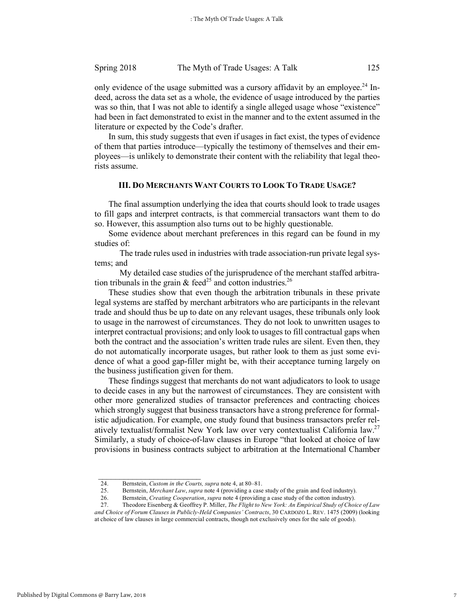#### Spring 2018 The Myth of Trade Usages: A Talk 125

only evidence of the usage submitted was a cursory affidavit by an employee.<sup>24</sup> Indeed, across the data set as a whole, the evidence of usage introduced by the parties was so thin, that I was not able to identify a single alleged usage whose "existence" had been in fact demonstrated to exist in the manner and to the extent assumed in the literature or expected by the Code's drafter.

In sum, this study suggests that even if usages in fact exist, the types of evidence of them that parties introduce—typically the testimony of themselves and their employees—is unlikely to demonstrate their content with the reliability that legal theorists assume.

#### **III. DO MERCHANTS WANT COURTS TO LOOK TO TRADE USAGE?**

The final assumption underlying the idea that courts should look to trade usages to fill gaps and interpret contracts, is that commercial transactors want them to do so. However, this assumption also turns out to be highly questionable.

Some evidence about merchant preferences in this regard can be found in my studies of:

 The trade rules used in industries with trade association-run private legal systems; and

 My detailed case studies of the jurisprudence of the merchant staffed arbitration tribunals in the grain  $\&$  feed<sup>25</sup> and cotton industries.<sup>26</sup>

These studies show that even though the arbitration tribunals in these private legal systems are staffed by merchant arbitrators who are participants in the relevant trade and should thus be up to date on any relevant usages, these tribunals only look to usage in the narrowest of circumstances. They do not look to unwritten usages to interpret contractual provisions; and only look to usages to fill contractual gaps when both the contract and the association's written trade rules are silent. Even then, they do not automatically incorporate usages, but rather look to them as just some evidence of what a good gap-filler might be, with their acceptance turning largely on the business justification given for them.

These findings suggest that merchants do not want adjudicators to look to usage to decide cases in any but the narrowest of circumstances. They are consistent with other more generalized studies of transactor preferences and contracting choices which strongly suggest that business transactors have a strong preference for formalistic adjudication. For example, one study found that business transactors prefer relatively textualist/formalist New York law over very contextualist California law.<sup>27</sup> Similarly, a study of choice-of-law clauses in Europe "that looked at choice of law provisions in business contracts subject to arbitration at the International Chamber

<sup>24.</sup> Bernstein, *Custom in the Courts, supra* note 4, at 80–81.

<sup>25.</sup> Bernstein, *Merchant Law*, *supra* note 4 (providing a case study of the grain and feed industry).

<sup>26.</sup> Bernstein, *Creating Cooperation*, *supra* note 4 (providing a case study of the cotton industry).

<sup>27.</sup> Theodore Eisenberg & Geoffrey P. Miller, *The Flight to New York: An Empirical Study of Choice of Law and Choice of Forum Clauses in Publicly-Held Companies' Contracts*, 30 CARDOZO L. REV. 1475 (2009) (looking at choice of law clauses in large commercial contracts, though not exclusively ones for the sale of goods).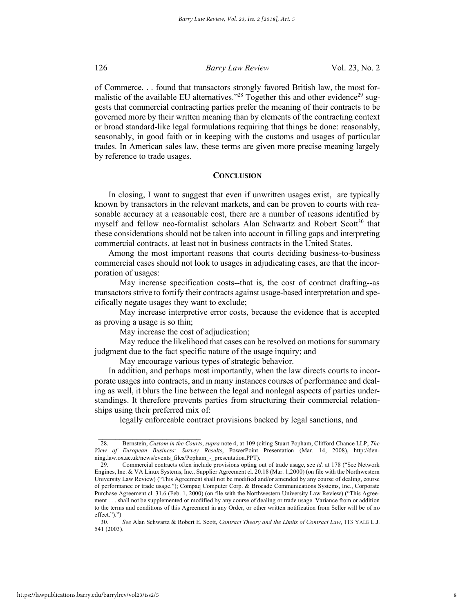#### 126 *Barry Law Review* Vol. 23, No. 2

of Commerce. . . found that transactors strongly favored British law, the most formalistic of the available EU alternatives.<sup> $228$ </sup> Together this and other evidence<sup>29</sup> suggests that commercial contracting parties prefer the meaning of their contracts to be governed more by their written meaning than by elements of the contracting context or broad standard-like legal formulations requiring that things be done: reasonably, seasonably, in good faith or in keeping with the customs and usages of particular trades. In American sales law, these terms are given more precise meaning largely by reference to trade usages.

#### **CONCLUSION**

In closing, I want to suggest that even if unwritten usages exist, are typically known by transactors in the relevant markets, and can be proven to courts with reasonable accuracy at a reasonable cost, there are a number of reasons identified by myself and fellow neo-formalist scholars Alan Schwartz and Robert Scott<sup>30</sup> that these considerations should not be taken into account in filling gaps and interpreting commercial contracts, at least not in business contracts in the United States.

Among the most important reasons that courts deciding business-to-business commercial cases should not look to usages in adjudicating cases, are that the incorporation of usages:

 May increase specification costs--that is, the cost of contract drafting--as transactors strive to fortify their contracts against usage-based interpretation and specifically negate usages they want to exclude;

 May increase interpretive error costs, because the evidence that is accepted as proving a usage is so thin;

May increase the cost of adjudication;

 $\mathcal{L}_\text{max}$ 

 May reduce the likelihood that cases can be resolved on motions for summary judgment due to the fact specific nature of the usage inquiry; and

May encourage various types of strategic behavior.

In addition, and perhaps most importantly, when the law directs courts to incorporate usages into contracts, and in many instances courses of performance and dealing as well, it blurs the line between the legal and nonlegal aspects of parties understandings. It therefore prevents parties from structuring their commercial relationships using their preferred mix of:

legally enforceable contract provisions backed by legal sanctions, and

<sup>28.</sup> Bernstein, *Custom in the Courts*, *supra* note 4, at 109 (citing Stuart Popham, Clifford Chance LLP, *The View of European Business: Survey Results*, PowerPoint Presentation (Mar. 14, 2008), http://denning.law.ox.ac.uk/news/events\_files/Popham\_-\_presentation.PPT).

<sup>29.</sup> Commercial contracts often include provisions opting out of trade usage, see *id.* at 178 ("See Network Engines, Inc. & VA Linux Systems, Inc., Supplier Agreement cl. 20.18 (Mar. 1,2000) (on file with the Northwestern University Law Review) ("This Agreement shall not be modified and/or amended by any course of dealing, course of performance or trade usage."); Compaq Computer Corp. & Brocade Communications Systems, Inc., Corporate Purchase Agreement cl. 31.6 (Feb. 1, 2000) (on file with the Northwestern University Law Review) ("This Agreement . . . shall not be supplemented or modified by any course of dealing or trade usage. Variance from or addition to the terms and conditions of this Agreement in any Order, or other written notification from Seller will be of no effect.").")

<sup>30</sup>*. See* Alan Schwartz & Robert E. Scott, *Contract Theory and the Limits of Contract Law*, 113 YALE L.J. 541 (2003).